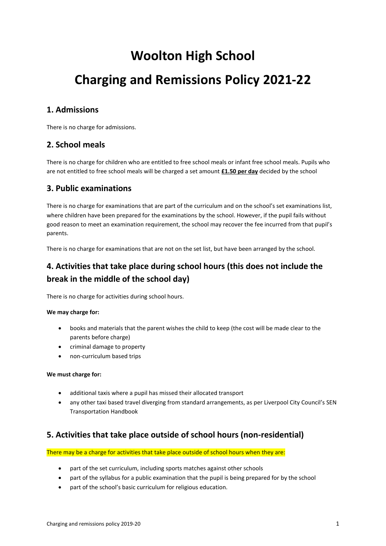# **Woolton High School**

# **Charging and Remissions Policy 2021-22**

## **1. Admissions**

There is no charge for admissions.

## **2. School meals**

There is no charge for children who are entitled to free school meals or infant free school meals. Pupils who are not entitled to free school meals will be charged a set amount **£1.50 per day** decided by the school

## **3. Public examinations**

There is no charge for examinations that are part of the curriculum and on the school's set examinations list, where children have been prepared for the examinations by the school. However, if the pupil fails without good reason to meet an examination requirement, the school may recover the fee incurred from that pupil's parents.

There is no charge for examinations that are not on the set list, but have been arranged by the school.

# **4. Activities that take place during school hours (this does not include the break in the middle of the school day)**

There is no charge for activities during school hours.

#### **We may charge for:**

- books and materials that the parent wishes the child to keep (the cost will be made clear to the parents before charge)
- criminal damage to property
- non-curriculum based trips

#### **We must charge for:**

- additional taxis where a pupil has missed their allocated transport
- any other taxi based travel diverging from standard arrangements, as per Liverpool City Council's SEN Transportation Handbook

## **5. Activities that take place outside of school hours (non-residential)**

There may be a charge for activities that take place outside of school hours when they are:

- part of the set curriculum, including sports matches against other schools
- part of the syllabus for a public examination that the pupil is being prepared for by the school
- part of the school's basic curriculum for religious education.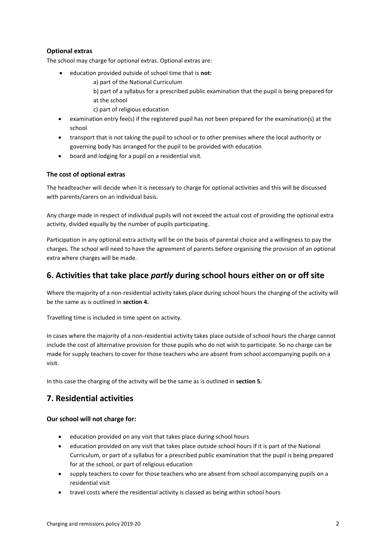#### **Optional extras**

The school may charge for optional extras. Optional extras are:

- education provided outside of school time that is **not:**
	- a) part of the National Curriculum
	- b) part of a syllabus for a prescribed public examination that the pupil is being prepared for
	- at the school
	- c) part of religious education
- examination entry fee(s) if the registered pupil has not been prepared for the examination(s) at the school
- transport that is not taking the pupil to school or to other premises where the local authority or governing body has arranged for the pupil to be provided with education
- board and lodging for a pupil on a residential visit.

#### **The cost of optional extras**

The headteacher will decide when it is necessary to charge for optional activities and this will be discussed with parents/carers on an individual basis.

Any charge made in respect of individual pupils will not exceed the actual cost of providing the optional extra activity, divided equally by the number of pupils participating.

Participation in any optional extra activity will be on the basis of parental choice and a willingness to pay the charges. The school will need to have the agreement of parents before organising the provision of an optional extra where charges will be made.

## **6. Activities that take place** *partly* **during school hours either on or off site**

Where the majority of a non-residential activity takes place during school hours the charging of the activity will be the same as is outlined in **section 4.**

Travelling time is included in time spent on activity.

In cases where the majority of a non-residential activity takes place outside of school hours the charge cannot include the cost of alternative provision for those pupils who do not wish to participate. So no charge can be made for supply teachers to cover for those teachers who are absent from school accompanying pupils on a visit.

In this case the charging of the activity will be the same as is outlined in **section 5.**

## **7. Residential activities**

#### **Our school will not charge for:**

- education provided on any visit that takes place during school hours
- education provided on any visit that takes place outside school hours if it is part of the National Curriculum, or part of a syllabus for a prescribed public examination that the pupil is being prepared for at the school, or part of religious education
- supply teachers to cover for those teachers who are absent from school accompanying pupils on a residential visit
- travel costs where the residential activity is classed as being within school hours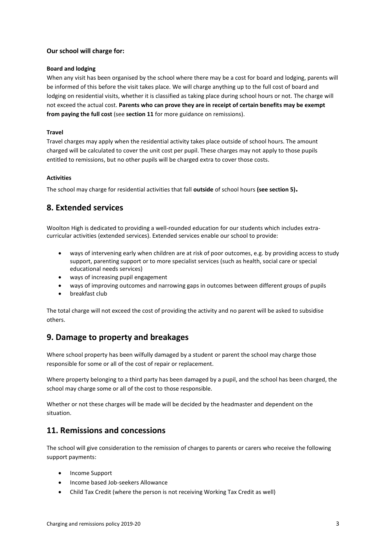#### **Our school will charge for:**

#### **Board and lodging**

When any visit has been organised by the school where there may be a cost for board and lodging, parents will be informed of this before the visit takes place. We will charge anything up to the full cost of board and lodging on residential visits, whether it is classified as taking place during school hours or not. The charge will not exceed the actual cost. **Parents who can prove they are in receipt of certain benefits may be exempt from paying the full cost** (see **section 11** for more guidance on remissions).

#### **Travel**

Travel charges may apply when the residential activity takes place outside of school hours. The amount charged will be calculated to cover the unit cost per pupil. These charges may not apply to those pupils entitled to remissions, but no other pupils will be charged extra to cover those costs.

#### **Activities**

The school may charge for residential activities that fall **outside** of school hours **(see section 5).** 

## **8. Extended services**

Woolton High is dedicated to providing a well-rounded education for our students which includes extracurricular activities (extended services). Extended services enable our school to provide:

- ways of intervening early when children are at risk of poor outcomes, e.g. by providing access to study support, parenting support or to more specialist services (such as health, social care or special educational needs services)
- ways of increasing pupil engagement
- ways of improving outcomes and narrowing gaps in outcomes between different groups of pupils
- breakfast club

The total charge will not exceed the cost of providing the activity and no parent will be asked to subsidise others.

## **9. Damage to property and breakages**

Where school property has been wilfully damaged by a student or parent the school may charge those responsible for some or all of the cost of repair or replacement.

Where property belonging to a third party has been damaged by a pupil, and the school has been charged, the school may charge some or all of the cost to those responsible.

Whether or not these charges will be made will be decided by the headmaster and dependent on the situation.

## **11. Remissions and concessions**

The school will give consideration to the remission of charges to parents or carers who receive the following support payments:

- Income Support
- Income based Job-seekers Allowance
- Child Tax Credit (where the person is not receiving Working Tax Credit as well)